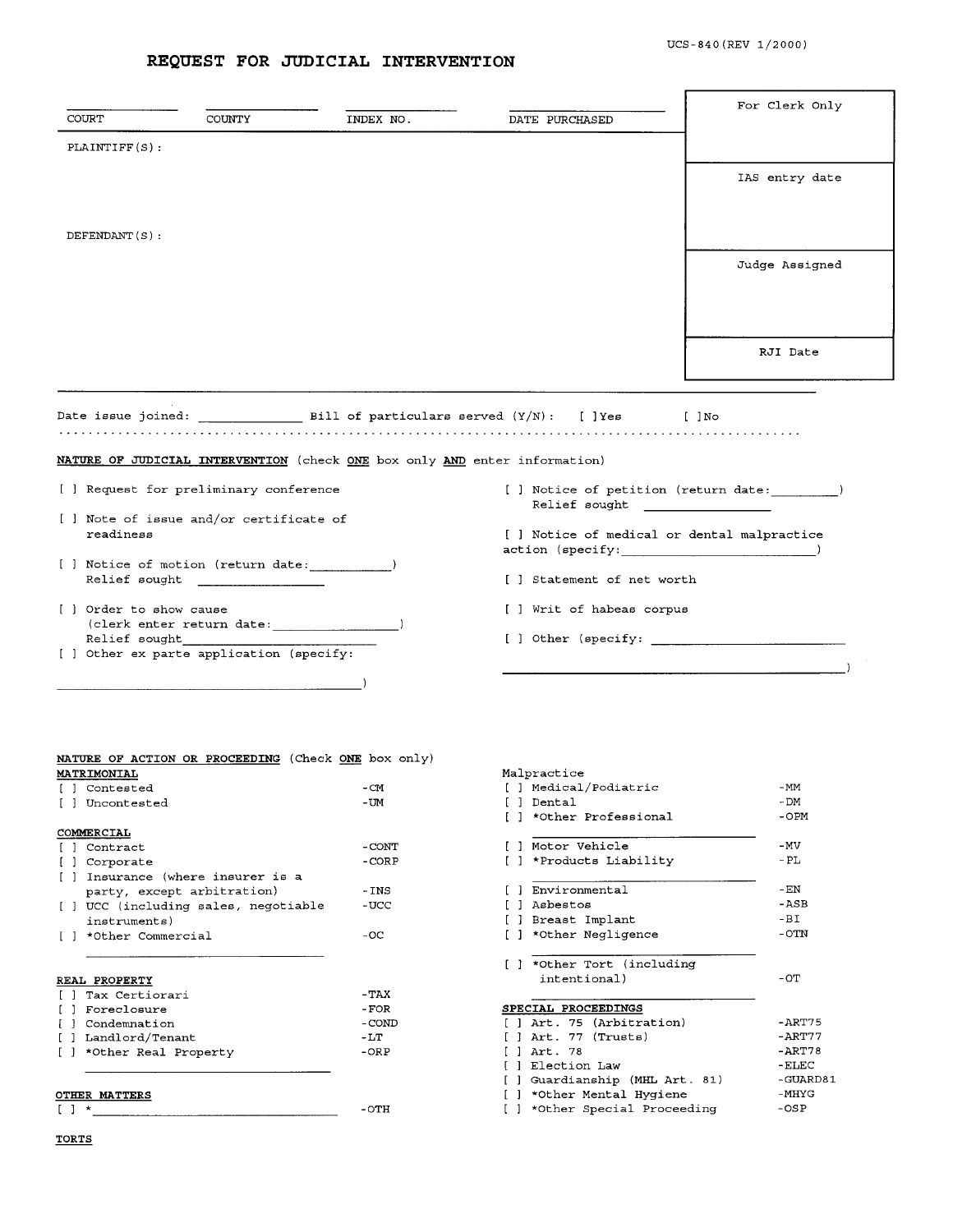## **REQUEST FOR JUDICIAL INTERVENTION**

| COURT                                                  | COUNTY                                                                           | INDEX NO.        | DATE PURCHASED                                                                       | For Clerk Only    |  |  |
|--------------------------------------------------------|----------------------------------------------------------------------------------|------------------|--------------------------------------------------------------------------------------|-------------------|--|--|
| PLAINTIFF(S):                                          |                                                                                  |                  |                                                                                      |                   |  |  |
|                                                        |                                                                                  |                  |                                                                                      |                   |  |  |
|                                                        |                                                                                  |                  |                                                                                      | IAS entry date    |  |  |
|                                                        |                                                                                  |                  |                                                                                      |                   |  |  |
| DEFENDANT(S):                                          |                                                                                  |                  |                                                                                      |                   |  |  |
|                                                        |                                                                                  |                  |                                                                                      | Judge Assigned    |  |  |
|                                                        |                                                                                  |                  |                                                                                      |                   |  |  |
|                                                        |                                                                                  |                  |                                                                                      |                   |  |  |
|                                                        |                                                                                  |                  |                                                                                      |                   |  |  |
|                                                        |                                                                                  |                  |                                                                                      | RJI Date          |  |  |
|                                                        |                                                                                  |                  |                                                                                      |                   |  |  |
|                                                        |                                                                                  |                  |                                                                                      |                   |  |  |
|                                                        |                                                                                  |                  | Date issue joined: $\qquad \qquad$ Bill of particulars served $(Y/N)$ : [ ]Yes [ ]No |                   |  |  |
|                                                        |                                                                                  |                  |                                                                                      |                   |  |  |
|                                                        | NATURE OF JUDICIAL INTERVENTION (check ONE box only AND enter information)       |                  |                                                                                      |                   |  |  |
|                                                        | [ ] Request for preliminary conference                                           |                  | [ ] Notice of petition (return date: )<br>Relief sought                              |                   |  |  |
| [ ] Note of issue and/or certificate of<br>readiness   |                                                                                  |                  | [ ] Notice of medical or dental malpractice<br>action (specificity:                  |                   |  |  |
|                                                        | [ ] Notice of motion (return date: )<br>Relief sought the contract of the sought |                  | [ ] Statement of net worth                                                           |                   |  |  |
| [ ] Order to show cause                                |                                                                                  |                  | [ ] Writ of habeas corpus                                                            |                   |  |  |
| Relief sought                                          | $(clerk$ enter return date: $\qquad \qquad$                                      |                  | [ ] Other (specify: where $\frac{1}{2}$                                              |                   |  |  |
|                                                        | [ ] Other ex parte application (specify:                                         |                  |                                                                                      |                   |  |  |
|                                                        |                                                                                  |                  |                                                                                      |                   |  |  |
|                                                        |                                                                                  |                  |                                                                                      |                   |  |  |
|                                                        |                                                                                  |                  |                                                                                      |                   |  |  |
|                                                        | NATURE OF ACTION OR PROCEEDING (Check ONE box only)                              |                  |                                                                                      |                   |  |  |
| <b>MATRIMONIAL</b>                                     |                                                                                  |                  | Malpractice                                                                          |                   |  |  |
| [ ] Contested<br>[ ] Uncontested                       |                                                                                  | - CM<br>- UM     | [ ] Medical/Podiatric<br>[ ] Dental                                                  | -MM<br>- DM       |  |  |
|                                                        |                                                                                  |                  | [ ] *Other Professional                                                              | $-OPM$            |  |  |
| <u>COMMERCIAL</u>                                      |                                                                                  |                  | [ ] Motor Vehicle                                                                    |                   |  |  |
| [ ] Contract<br>[ ] Corporate                          |                                                                                  | - CONT<br>- CORP | [ ] *Products Liability                                                              | -MV<br>- PL       |  |  |
|                                                        | [ ] Insurance (where insurer is a                                                |                  |                                                                                      |                   |  |  |
|                                                        | party, except arbitration)                                                       | - INS            | [ ] Environmental                                                                    | $-EN$             |  |  |
|                                                        | [ ] UCC (including sales, negotiable                                             | -UCC             | [ ] Asbestos                                                                         | $-$ ASB           |  |  |
| instruments)                                           |                                                                                  |                  | [ ] Breast Implant                                                                   | $-BI$             |  |  |
| [ ] *Other Commercial                                  |                                                                                  | $-OC$            | [ ] *Other Negligence                                                                | -OTN              |  |  |
|                                                        |                                                                                  |                  | [ ] *Other Tort (including                                                           |                   |  |  |
| REAL PROPERTY                                          |                                                                                  |                  | intentional)                                                                         | $-OT$             |  |  |
| [ ] Tax Certiorari                                     |                                                                                  | $-TAX$           |                                                                                      |                   |  |  |
| [ ] Foreclosure                                        |                                                                                  | - FOR            | <b>SPECIAL PROCEEDINGS</b>                                                           |                   |  |  |
| [ ] Condemnation                                       |                                                                                  | - COND           | [ ] Art. 75 (Arbitration)                                                            | - ART75           |  |  |
| [] Landlord/Tenant                                     |                                                                                  | -LT              | $[$ $]$ Art. 77 (Trusts)                                                             | -ART77            |  |  |
| [ ] *Other Real Property                               |                                                                                  | $-$ OR $P$       | [ ] Art. 78                                                                          | $-ART78$          |  |  |
|                                                        |                                                                                  |                  | [ ] Election Law<br>[ ] Guardianship (MHL Art. 81)                                   | -ELEC<br>-GUARD81 |  |  |
|                                                        |                                                                                  |                  | [ ] *Other Mental Hygiene                                                            | -MHYG             |  |  |
| OTHER MATTERS<br>$\begin{bmatrix} 1 & * \end{bmatrix}$ |                                                                                  | $-$ OTH          | [ ] *Other Special Proceeding                                                        | $-$ OS $P$        |  |  |
|                                                        |                                                                                  |                  |                                                                                      |                   |  |  |